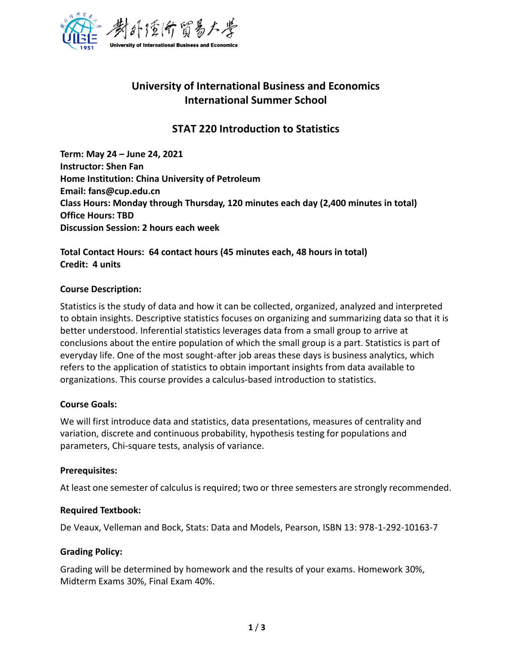

# **University of International Business and Economics International Summer School**

# **STAT 220 Introduction to Statistics**

**Term: May 24 – June 24, 2021 Instructor: Shen Fan Home Institution: China University of Petroleum Email: fans@cup.edu.cn Class Hours: Monday through Thursday, 120 minutes each day (2,400 minutes in total) Office Hours: TBD Discussion Session: 2 hours each week** 

**Total Contact Hours: 64 contact hours (45 minutes each, 48 hours in total) Credit: 4 units**

## **Course Description:**

Statistics is the study of data and how it can be collected, organized, analyzed and interpreted to obtain insights. Descriptive statistics focuses on organizing and summarizing data so that it is better understood. Inferential statistics leverages data from a small group to arrive at conclusions about the entire population of which the small group is a part. Statistics is part of everyday life. One of the most sought-after job areas these days is business analytics, which refers to the application of statistics to obtain important insights from data available to organizations. This course provides a calculus-based introduction to statistics.

## **Course Goals:**

We will first introduce data and statistics, data presentations, measures of centrality and variation, discrete and continuous probability, hypothesis testing for populations and parameters, Chi-square tests, analysis of variance.

## **Prerequisites:**

At least one semester of calculus is required; two or three semesters are strongly recommended.

## **Required Textbook:**

De Veaux, Velleman and Bock, Stats: Data and Models, Pearson, ISBN 13: 978-1-292-10163-7

## **Grading Policy:**

Grading will be determined by homework and the results of your exams. Homework 30%, Midterm Exams 30%, Final Exam 40%.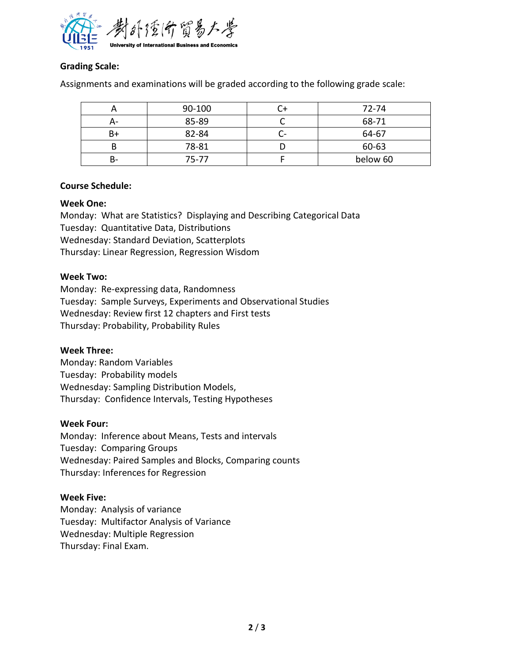

## **Grading Scale:**

Assignments and examinations will be graded according to the following grade scale:

|     | 90-100    | $72 - 74$ |
|-----|-----------|-----------|
| – ⊿ | 85-89     | 68-71     |
| B+  | 82-84     | 64-67     |
|     | 78-81     | 60-63     |
|     | $75 - 77$ | below 60  |

## **Course Schedule:**

## **Week One:**

Monday: What are Statistics? Displaying and Describing Categorical Data Tuesday: Quantitative Data, Distributions Wednesday: Standard Deviation, Scatterplots Thursday: Linear Regression, Regression Wisdom

## **Week Two:**

Monday: Re-expressing data, Randomness Tuesday: Sample Surveys, Experiments and Observational Studies Wednesday: Review first 12 chapters and First tests Thursday: Probability, Probability Rules

## **Week Three:**

Monday: Random Variables Tuesday: Probability models Wednesday: Sampling Distribution Models, Thursday: Confidence Intervals, Testing Hypotheses

## **Week Four:**

Monday: Inference about Means, Tests and intervals Tuesday: Comparing Groups Wednesday: Paired Samples and Blocks, Comparing counts Thursday: Inferences for Regression

## **Week Five:**

Monday: Analysis of variance Tuesday: Multifactor Analysis of Variance Wednesday: Multiple Regression Thursday: Final Exam.